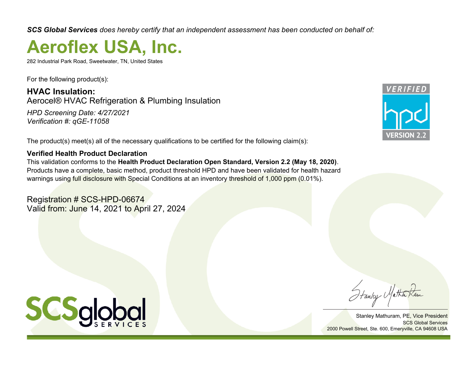*SCS Global Services does hereby certify that an independent assessment has been conducted on behalf of:*

# **Aeroflex USA, Inc.**

282 Industrial Park Road, Sweetwater, TN, United States

For the following product(s):

**HVAC Insulation:** Aerocel® HVAC Refrigeration & Plumbing Insulation

*HPD Screening Date: 4/27/2021 Verification #: qGE-11058*

The product(s) meet(s) all of the necessary qualifications to be certified for the following claim(s):

# **Verified Health Product Declaration**

This validation conforms to the **Health Product Declaration Open Standard, Version 2.2 (May 18, 2020)**. Products have a complete, basic method, product threshold HPD and have been validated for health hazard warnings using full disclosure with Special Conditions at an inventory threshold of 1,000 ppm (0.01%).

Registration # SCS-HPD-06674 Valid from: June 14, 2021 to April 27, 2024



Fanley Matha

Stanley Mathuram, PE, Vice President SCS Global Services 2000 Powell Street, Ste. 600, Emeryville, CA 94608 USA

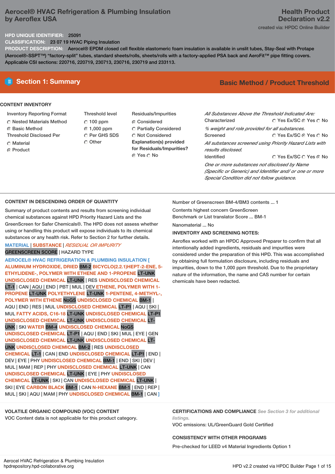# **Aerocel® HVAC Refrigeration & Plumbing Insulation by Aeroflex USA**

# **HPD UNIQUE IDENTIFIER:** 25091

**CLASSIFICATION:** 23 07 19 HVAC Piping Insulation

**PRODUCT DESCRIPTION:** Aerocel® EPDM closed cell flexible elastomeric foam insulation is available in unslit tubes, Stay-Seal with Protape (Aerocel®-SSPT™) "factory-split" tubes, standard sheets/rolls, sheets/rolls with a factory-applied PSA back and AeroFit™ pipe fitting covers. Applicable CSI sections: 220716, 220719, 230713, 230716, 230719 and 233113.

# **CONTENT INVENTORY**

- Inventory Reporting Format
- Nested Materials Method
- **G** Basic Method
- Threshold Disclosed Per
- Material
- ⊙ Product
- Threshold level  $\degree$  100 ppm 1,000 ppm C Per GHS SDS O Other
- Residuals/Impurities C Considered Partially Considered Not Considered **Explanation(s) provided for Residuals/Impurities?** © Yes ∩ No

# **Section 1: Summary Basic Method / Product Threshold**

| All Substances Above the Threshold Indicated Are:<br>Characterized | ∩ Yes Ex/SC ⊙ Yes ∩ No                                   |  |  |  |  |  |
|--------------------------------------------------------------------|----------------------------------------------------------|--|--|--|--|--|
| % weight and role provided for all substances.                     |                                                          |  |  |  |  |  |
| Screened                                                           | ○ Yes Ex/SC ⊙ Yes ○ No                                   |  |  |  |  |  |
|                                                                    | All substances screened using Priority Hazard Lists with |  |  |  |  |  |
| results disclosed.                                                 |                                                          |  |  |  |  |  |
| <b>Identified</b>                                                  | ∩ Yes Ex/SC ∩ Yes ∩ No                                   |  |  |  |  |  |
| One or more substances not disclosed by Name                       |                                                          |  |  |  |  |  |
|                                                                    | (Specific or Generic) and Identifier and/ or one or more |  |  |  |  |  |
| Special Condition did not follow quidance.                         |                                                          |  |  |  |  |  |

# **CONTENT IN DESCENDING ORDER OF QUANTITY**

Summary of product contents and results from screening individual chemical substances against HPD Priority Hazard Lists and the GreenScreen for Safer Chemicals®. The HPD does not assess whether using or handling this product will expose individuals to its chemical substances or any health risk. Refer to Section 2 for further details.

# **MATERIAL** | **SUBSTANCE** | *RESIDUAL OR IMPURITY* GREENSCREEN SCORE | HAZARD TYPE

**AEROCEL® HVAC REFRIGERATION & PLUMBING INSULATION [ ALUMINUM HYDROXIDE, DRIED** BM-2 **BICYCLO(2.2.1)HEPT-2-ENE, 5- ETHYLIDENE-, POLYMER WITH ETHENE AND 1-PROPENE** LT-UNK **UNDISCLOSED CHEMICAL** LT-UNK | RES **UNDISCLOSED CHEMICAL** LT-1 | CAN | AQU | END | PBT | MUL | DEV **ETHENE, POLYMER WITH 1- PROPENE** LT-UNK **POLYETHYLENE** LT-UNK **1-PENTENE, 4-METHYL-, POLYMER WITH ETHENE** NoGS **UNDISCLOSED CHEMICAL** BM-1 | AQU | END | RES | MUL **UNDISCLOSED CHEMICAL** LT-P1 | AQU | SKI | MUL **FATTY ACIDS, C16-18** LT-UNK **UNDISCLOSED CHEMICAL** LT-P1 **UNDISCLOSED CHEMICAL** LT-UNK **UNDISCLOSED CHEMICAL** LT-UNK | SKI **WATER** BM-4 **UNDISCLOSED CHEMICAL** NoGS **UNDISCLOSED CHEMICAL** LT-P1 | AQU | END | SKI | MUL | EYE | GEN **UNDISCLOSED CHEMICAL** LT-UNK **UNDISCLOSED CHEMICAL** LT-UNK **UNDISCLOSED CHEMICAL** BM-2 | RES **UNDISCLOSED CHEMICAL** LT-1 | CAN | END **UNDISCLOSED CHEMICAL** LT-P1 | END | DEV | EYE | PHY **UNDISCLOSED CHEMICAL** BM-1 | END | SKI | DEV | MUL | MAM |REP | PHY **UNDISCLOSED CHEMICAL** LT-UNK | CAN **UNDISCLOSED CHEMICAL** LT-UNK | EYE | PHY **UNDISCLOSED CHEMICAL** LT-UNK | SKI | CAN **UNDISCLOSED CHEMICAL** LT-UNK | SKI | EYE **CARBON BLACK** BM-1 | CAN **N-HEXANE** BM-1 | END | REP | MUL | SKI | AQU | MAM |PHY **UNDISCLOSED CHEMICAL** BM-1 | CAN **]**

# **VOLATILE ORGANIC COMPOUND (VOC) CONTENT**

VOC Content data is not applicable for this product category.

Number of Greenscreen BM-4/BM3 contents ... 1

Contents highest concern GreenScreen Benchmark or List translator Score ... BM-1

Nanomaterial No

# **INVENTORY AND SCREENING NOTES:**

Aeroflex worked with an HPDC Approved Preparer to confirm that all intentionally added ingredients, residuals and impurities were considered under the preparation of this HPD. This was accomplished by obtaining full formulation disclosure, including residuals and impurities, down to the 1,000 ppm threshold. Due to the proprietary nature of the information, the name and CAS number for certain chemicals have been redacted.

**CERTIFICATIONS AND COMPLIANCE** *See Section 3 for additional listings.*

VOC emissions: UL/GreenGuard Gold Certified

# **CONSISTENCY WITH OTHER PROGRAMS**

Pre-checked for LEED v4 Material Ingredients Option 1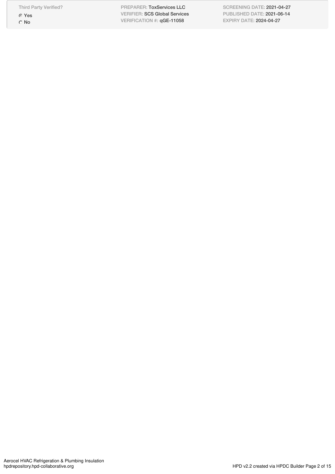Third Party Verified?

Yes O<sub>No</sub>

PREPARER: ToxServices LLC PREPARER: ToxServices LLC<br>VERIFIER: SCS Global Services<br>VERIFICATION #: qGE-11058 VERIFICATION #: qGE-11058

SCREENING DATE: 2021-04-27 PUBLISHED DATE: 2021-06-14 EXPIRY DATE: 2024-04-27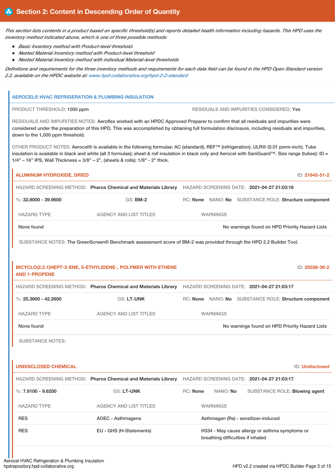This section lists contents in a product based on specific threshold(s) and reports detailed health information including hazards. This HPD uses the *inventory method indicated above, which is one of three possible methods:*

- *Basic Inventory method with Product-level threshold.*
- *Nested Material Inventory method with Product-level threshold*
- *Nested Material Inventory method with individual Material-level thresholds*

Definitions and requirements for the three inventory methods and requirements for each data field can be found in the HPD Open Standard version *2.2, available on the HPDC website at: www.hpd-collaborative.org/hpd-2-2-standard*

# **AEROCEL® HVAC REFRIGERATION & PLUMBING INSULATION** PRODUCT THRESHOLD: 1000 ppm  $\overline{R}$  residuals and impurities considered: Yes RESIDUALS AND IMPURITIES NOTES: Aeroflex worked with an HPDC Approved Preparer to confirm that all residuals and impurities were considered under the preparation of this HPD. This was accomplished by obtaining full formulation disclosure, including residuals and impurities, down to the 1,000 ppm threshold. OTHER PRODUCT NOTES: Aerocel® is available in the following formulas: AC (standard), REF™ (refrigeration), ULR® (0.01 perm-inch). Tube insulation is available in black and white (all 3 formulas); sheet & roll insulation in black only and Aerocel with SaniGuard™. Size range (tubes): ID = 1/4" – 16" IPS, Wall Thickness = 3/8" – 2", (sheets & rolls): 1/8" - 2" thick. **ALUMINUM HYDROXIDE, DRIED** ID: **21645-51-2** HAZARD SCREENING METHOD: **Pharos Chemical and Materials Library** HAZARD SCREENING DATE: **2021-04-27 21:03:16** %: **32.8000 - 39.9600** GS: **BM-2** RC: **None** NANO: **No** SUBSTANCE ROLE: **Structure component** HAZARD TYPE AGENCY AND LIST TITLES WARNINGS None found Now the Priority Hazard Lists Now the Priority Hazard Lists No warnings found on HPD Priority Hazard Lists SUBSTANCE NOTES: The GreenScreen® Benchmark assessment score of BM-2 was provided through the HPD 2.2 Builder Tool. **BICYCLO(2.2.1)HEPT-2-ENE, 5-ETHYLIDENE-, POLYMER WITH ETHENE AND 1-PROPENE** ID: **25038-36-2** HAZARD SCREENING METHOD: **Pharos Chemical and Materials Library** HAZARD SCREENING DATE: **2021-04-27 21:03:17** %: **25.3600 - 42.2600** GS: LT-UNK RC: None NANO: No SUBSTANCE ROLE: Structure component HAZARD TYPE AGENCY AND LIST TITLES WARNINGS None found Now the Priority Hazard Lists Company of the North Company of the North Company of the North Company of North Company of North Company of North Company of the North Company of the North Company of the North Comp SUBSTANCE NOTES: **UNDISCLOSED CHEMICAL** ID: **Undisclosed** HAZARD SCREENING METHOD: **Pharos Chemical and Materials Library** HAZARD SCREENING DATE: **2021-04-27 21:03:17** %: **7.9100 - 9.6200** GS: LT-UNK RC: None NANO: No SUBSTANCE ROLE: Blowing agent HAZARD TYPE AGENCY AND LIST TITLES WARNINGS RES **AOEC - Asthmagens** AOEC - Asthmagens Asthmagen (Rs) - sensitizer-induced RES TEU - GHS (H-Statements) H334 - May cause allergy or asthma symptoms or breathing difficulties if inhaled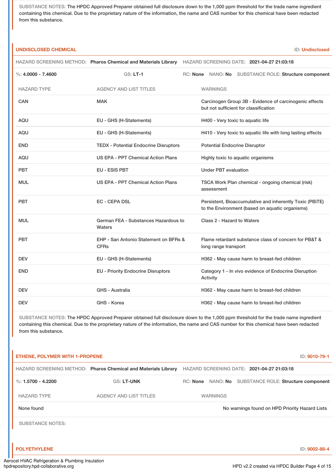SUBSTANCE NOTES: The HPDC Approved Preparer obtained full disclosure down to the 1,000 ppm threshold for the trade name ingredient containing this chemical. Due to the proprietary nature of the information, the name and CAS number for this chemical have been redacted from this substance.

# **UNDISCLOSED CHEMICAL** ID: **Undisclosed**

|                      | HAZARD SCREENING METHOD: Pharos Chemical and Materials Library | HAZARD SCREENING DATE: 2021-04-27 21:03:18                                                                                         |
|----------------------|----------------------------------------------------------------|------------------------------------------------------------------------------------------------------------------------------------|
| %: $4.0000 - 7.4600$ | $GS: LT-1$                                                     | RC: None NANO: No SUBSTANCE ROLE: Structure component                                                                              |
| <b>HAZARD TYPE</b>   | <b>AGENCY AND LIST TITLES</b>                                  | <b>WARNINGS</b>                                                                                                                    |
| CAN                  | <b>MAK</b>                                                     | Carcinogen Group 3B - Evidence of carcinogenic effects<br>but not sufficient for classification                                    |
| <b>AQU</b>           | EU - GHS (H-Statements)                                        | H400 - Very toxic to aquatic life                                                                                                  |
| <b>AQU</b>           | EU - GHS (H-Statements)                                        | H410 - Very toxic to aquatic life with long lasting effects                                                                        |
| <b>END</b>           | <b>TEDX - Potential Endocrine Disruptors</b>                   | <b>Potential Endocrine Disruptor</b>                                                                                               |
| <b>AQU</b>           | US EPA - PPT Chemical Action Plans                             | Highly toxic to aquatic organisms                                                                                                  |
| <b>PBT</b>           | EU - ESIS PBT                                                  | <b>Under PBT evaluation</b>                                                                                                        |
| <b>MUL</b>           | US EPA - PPT Chemical Action Plans                             | TSCA Work Plan chemical - ongoing chemical (risk)<br>assessment                                                                    |
| <b>PBT</b>           | <b>EC - CEPA DSL</b>                                           | Persistent, Bioaccumulative and inherently Toxic (PBiTE)<br>to the Environment (based on aquatic organisms)                        |
| <b>MUL</b>           | German FEA - Substances Hazardous to<br>Waters                 | Class 2 - Hazard to Waters                                                                                                         |
| <b>PBT</b>           | EHP - San Antonio Statement on BFRs &<br><b>CFRs</b>           | Flame retardant substance class of concern for PB&T &<br>long range transport                                                      |
| <b>DEV</b>           | EU - GHS (H-Statements)                                        | H362 - May cause harm to breast-fed children                                                                                       |
| <b>END</b>           | <b>EU - Priority Endocrine Disruptors</b>                      | Category 1 - In vivo evidence of Endocrine Disruption<br>Activity                                                                  |
| <b>DEV</b>           | <b>GHS - Australia</b>                                         | H362 - May cause harm to breast-fed children                                                                                       |
| <b>DEV</b>           | GHS - Korea                                                    | H362 - May cause harm to breast-fed children                                                                                       |
|                      |                                                                | SUBSTANCE NOTES: The HPDC Approved Preparer obtained full disclosure down to the 1,000 ppm threshold for the trade name ingredient |

containing this chemical. Due to the proprietary nature of the information, the name and CAS number for this chemical have been redacted from this substance.

|                         | HAZARD SCREENING METHOD: Pharos Chemical and Materials Library |                 |                 | HAZARD SCREENING DATE: 2021-04-27 21:03:18     |
|-------------------------|----------------------------------------------------------------|-----------------|-----------------|------------------------------------------------|
| %: $1.5700 - 4.2200$    | <b>GS: LT-UNK</b>                                              | RC: <b>None</b> |                 | NANO: No SUBSTANCE ROLE: Structure component   |
| <b>HAZARD TYPE</b>      | <b>AGENCY AND LIST TITLES</b>                                  |                 | <b>WARNINGS</b> |                                                |
| None found              |                                                                |                 |                 | No warnings found on HPD Priority Hazard Lists |
| <b>SUBSTANCE NOTES:</b> |                                                                |                 |                 |                                                |
| <b>POLYETHYLENE</b>     |                                                                |                 |                 | ID: 9002-88-4                                  |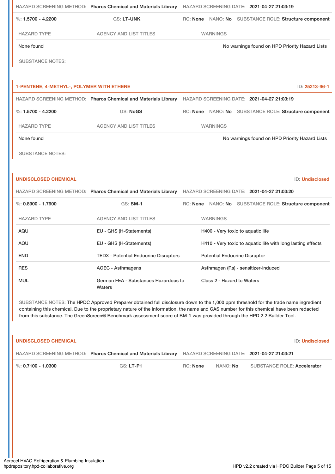|                                                  | HAZARD SCREENING METHOD: Pharos Chemical and Materials Library |                 | HAZARD SCREENING DATE: 2021-04-27 21:03:19 |                                                       |
|--------------------------------------------------|----------------------------------------------------------------|-----------------|--------------------------------------------|-------------------------------------------------------|
| $\%: 1.5700 - 4.2200$                            | <b>GS: LT-UNK</b>                                              |                 |                                            | RC: None NANO: No SUBSTANCE ROLE: Structure component |
| <b>HAZARD TYPE</b>                               | <b>AGENCY AND LIST TITLES</b>                                  | <b>WARNINGS</b> |                                            |                                                       |
| None found                                       |                                                                |                 |                                            | No warnings found on HPD Priority Hazard Lists        |
| <b>SUBSTANCE NOTES:</b>                          |                                                                |                 |                                            |                                                       |
|                                                  |                                                                |                 |                                            |                                                       |
| <b>1-PENTENE, 4-METHYL-, POLYMER WITH ETHENE</b> |                                                                |                 |                                            | ID: 25213-96-1                                        |
|                                                  | HAZARD SCREENING METHOD: Pharos Chemical and Materials Library |                 | HAZARD SCREENING DATE: 2021-04-27 21:03:19 |                                                       |
| $\%: 1.5700 - 4.2200$                            | <b>GS: NoGS</b>                                                |                 |                                            | RC: None NANO: No SUBSTANCE ROLE: Structure component |
| <b>HAZARD TYPE</b>                               | <b>AGENCY AND LIST TITLES</b>                                  | <b>WARNINGS</b> |                                            |                                                       |
| None found                                       |                                                                |                 |                                            | No warnings found on HPD Priority Hazard Lists        |
| <b>SUBSTANCE NOTES:</b>                          |                                                                |                 |                                            |                                                       |
|                                                  |                                                                |                 |                                            |                                                       |
|                                                  |                                                                |                 |                                            |                                                       |

|                        | HAZARD SCREENING METHOD: Pharos Chemical and Materials Library | HAZARD SCREENING DATE: 2021-04-27 21:03:20                  |
|------------------------|----------------------------------------------------------------|-------------------------------------------------------------|
| $\%$ : 0.8900 - 1.7900 | $GS:$ BM-1                                                     | NANO: No SUBSTANCE ROLE: Structure component<br>RC: None    |
| <b>HAZARD TYPE</b>     | <b>AGENCY AND LIST TITLES</b>                                  | <b>WARNINGS</b>                                             |
| AQU                    | EU - GHS (H-Statements)                                        | H400 - Very toxic to aquatic life                           |
| AQU                    | EU - GHS (H-Statements)                                        | H410 - Very toxic to aquatic life with long lasting effects |
| <b>END</b>             | <b>TEDX</b> - Potential Endocrine Disruptors                   | <b>Potential Endocrine Disruptor</b>                        |
| <b>RES</b>             | AOEC - Asthmagens                                              | Asthmagen (Rs) - sensitizer-induced                         |
| <b>MUL</b>             | German FEA - Substances Hazardous to<br>Waters                 | Class 2 - Hazard to Waters                                  |

SUBSTANCE NOTES: The HPDC Approved Preparer obtained full disclosure down to the 1,000 ppm threshold for the trade name ingredient containing this chemical. Due to the proprietary nature of the information, the name and CAS number for this chemical have been redacted from this substance. The GreenScreen® Benchmark assessment score of BM-1 was provided through the HPD 2.2 Builder Tool.

| UNDISCLOSED CHEMICAL   |                                                                                                           |          |                 | <b>ID: Undisclosed</b>      |
|------------------------|-----------------------------------------------------------------------------------------------------------|----------|-----------------|-----------------------------|
|                        | HAZARD SCREENING METHOD: Pharos Chemical and Materials Library HAZARD SCREENING DATE: 2021-04-27 21:03:21 |          |                 |                             |
| $\%$ : 0.7100 - 1.0300 | GS: LT-P1                                                                                                 | RC: None | NANO: <b>No</b> | SUBSTANCE ROLE: Accelerator |

ı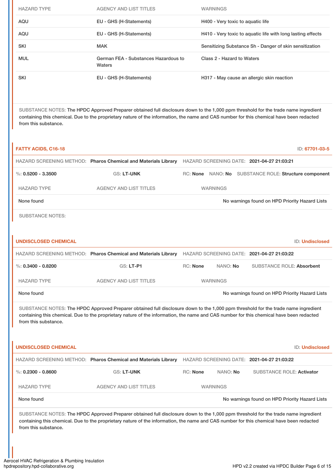| <b>HAZARD TYPE</b> | <b>AGENCY AND LIST TITLES</b>                  | <b>WARNINGS</b>                                             |
|--------------------|------------------------------------------------|-------------------------------------------------------------|
| AQU                | EU - GHS (H-Statements)                        | H400 - Very toxic to aquatic life                           |
| AQU                | EU - GHS (H-Statements)                        | H410 - Very toxic to aquatic life with long lasting effects |
| <b>SKI</b>         | <b>MAK</b>                                     | Sensitizing Substance Sh - Danger of skin sensitization     |
| <b>MUL</b>         | German FEA - Substances Hazardous to<br>Waters | Class 2 - Hazard to Waters                                  |
| <b>SKI</b>         | EU - GHS (H-Statements)                        | H317 - May cause an allergic skin reaction                  |

SUBSTANCE NOTES: The HPDC Approved Preparer obtained full disclosure down to the 1,000 ppm threshold for the trade name ingredient containing this chemical. Due to the proprietary nature of the information, the name and CAS number for this chemical have been redacted from this substance.

| <b>FATTY ACIDS, C16-18</b>                                                                                                                                                                                                                                                                             |                                                                                                                                                                                                                                                                                |                 |                 |  |                                                       | ID: 67701-03-5         |
|--------------------------------------------------------------------------------------------------------------------------------------------------------------------------------------------------------------------------------------------------------------------------------------------------------|--------------------------------------------------------------------------------------------------------------------------------------------------------------------------------------------------------------------------------------------------------------------------------|-----------------|-----------------|--|-------------------------------------------------------|------------------------|
|                                                                                                                                                                                                                                                                                                        | HAZARD SCREENING METHOD: Pharos Chemical and Materials Library HAZARD SCREENING DATE: 2021-04-27 21:03:21                                                                                                                                                                      |                 |                 |  |                                                       |                        |
| %: $0.5200 - 3.3500$                                                                                                                                                                                                                                                                                   | <b>GS: LT-UNK</b>                                                                                                                                                                                                                                                              |                 |                 |  | RC: None NANO: No SUBSTANCE ROLE: Structure component |                        |
| <b>HAZARD TYPE</b>                                                                                                                                                                                                                                                                                     | <b>AGENCY AND LIST TITLES</b>                                                                                                                                                                                                                                                  |                 | <b>WARNINGS</b> |  |                                                       |                        |
| None found                                                                                                                                                                                                                                                                                             |                                                                                                                                                                                                                                                                                |                 |                 |  | No warnings found on HPD Priority Hazard Lists        |                        |
| <b>SUBSTANCE NOTES:</b>                                                                                                                                                                                                                                                                                |                                                                                                                                                                                                                                                                                |                 |                 |  |                                                       |                        |
| <b>UNDISCLOSED CHEMICAL</b>                                                                                                                                                                                                                                                                            |                                                                                                                                                                                                                                                                                |                 |                 |  |                                                       | ID: Undisclosed        |
|                                                                                                                                                                                                                                                                                                        | HAZARD SCREENING METHOD: Pharos Chemical and Materials Library HAZARD SCREENING DATE: 2021-04-27 21:03:22                                                                                                                                                                      |                 |                 |  |                                                       |                        |
| %: $0.3400 - 0.8200$                                                                                                                                                                                                                                                                                   | GS: LT-P1                                                                                                                                                                                                                                                                      | <b>RC: None</b> | NANO: No        |  | <b>SUBSTANCE ROLE: Absorbent</b>                      |                        |
| <b>HAZARD TYPE</b>                                                                                                                                                                                                                                                                                     | <b>AGENCY AND LIST TITLES</b>                                                                                                                                                                                                                                                  |                 | <b>WARNINGS</b> |  |                                                       |                        |
| None found                                                                                                                                                                                                                                                                                             |                                                                                                                                                                                                                                                                                |                 |                 |  | No warnings found on HPD Priority Hazard Lists        |                        |
| SUBSTANCE NOTES: The HPDC Approved Preparer obtained full disclosure down to the 1,000 ppm threshold for the trade name ingredient<br>containing this chemical. Due to the proprietary nature of the information, the name and CAS number for this chemical have been redacted<br>from this substance. |                                                                                                                                                                                                                                                                                |                 |                 |  |                                                       |                        |
| <b>UNDISCLOSED CHEMICAL</b>                                                                                                                                                                                                                                                                            |                                                                                                                                                                                                                                                                                |                 |                 |  |                                                       | <b>ID: Undisclosed</b> |
|                                                                                                                                                                                                                                                                                                        | HAZARD SCREENING METHOD: Pharos Chemical and Materials Library HAZARD SCREENING DATE: 2021-04-27 21:03:22                                                                                                                                                                      |                 |                 |  |                                                       |                        |
| $\%$ : 0.2300 - 0.8600                                                                                                                                                                                                                                                                                 | GS: LT-UNK                                                                                                                                                                                                                                                                     | <b>RC: None</b> | NANO: No        |  | <b>SUBSTANCE ROLE: Activator</b>                      |                        |
| <b>HAZARD TYPE</b>                                                                                                                                                                                                                                                                                     | <b>AGENCY AND LIST TITLES</b>                                                                                                                                                                                                                                                  |                 | <b>WARNINGS</b> |  |                                                       |                        |
| None found                                                                                                                                                                                                                                                                                             |                                                                                                                                                                                                                                                                                |                 |                 |  | No warnings found on HPD Priority Hazard Lists        |                        |
| from this substance.                                                                                                                                                                                                                                                                                   | SUBSTANCE NOTES: The HPDC Approved Preparer obtained full disclosure down to the 1,000 ppm threshold for the trade name ingredient<br>containing this chemical. Due to the proprietary nature of the information, the name and CAS number for this chemical have been redacted |                 |                 |  |                                                       |                        |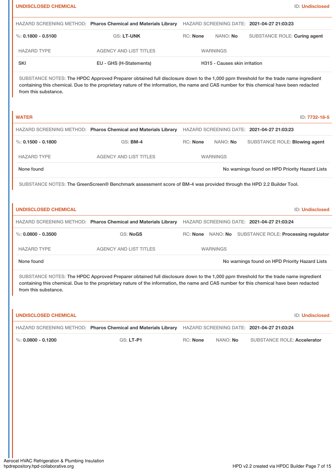| <b>UNDISCLOSED CHEMICAL</b> |                                                                                                                                                                                                                                                                                |                 |                               | ID: Undisclosed                                |
|-----------------------------|--------------------------------------------------------------------------------------------------------------------------------------------------------------------------------------------------------------------------------------------------------------------------------|-----------------|-------------------------------|------------------------------------------------|
|                             | HAZARD SCREENING METHOD: Pharos Chemical and Materials Library                                                                                                                                                                                                                 |                 |                               | HAZARD SCREENING DATE: 2021-04-27 21:03:23     |
| %: $0.1800 - 0.5100$        | <b>GS: LT-UNK</b>                                                                                                                                                                                                                                                              | RC: None        | NANO: No                      | SUBSTANCE ROLE: Curing agent                   |
| <b>HAZARD TYPE</b>          | <b>AGENCY AND LIST TITLES</b>                                                                                                                                                                                                                                                  |                 | <b>WARNINGS</b>               |                                                |
| <b>SKI</b>                  | EU - GHS (H-Statements)                                                                                                                                                                                                                                                        |                 | H315 - Causes skin irritation |                                                |
| from this substance.        | SUBSTANCE NOTES: The HPDC Approved Preparer obtained full disclosure down to the 1,000 ppm threshold for the trade name ingredient<br>containing this chemical. Due to the proprietary nature of the information, the name and CAS number for this chemical have been redacted |                 |                               |                                                |
| <b>WATER</b>                |                                                                                                                                                                                                                                                                                |                 |                               | ID: 7732-18-5                                  |
|                             | HAZARD SCREENING METHOD: Pharos Chemical and Materials Library HAZARD SCREENING DATE: 2021-04-27 21:03:23                                                                                                                                                                      |                 |                               |                                                |
| $\%$ : 0.1500 - 0.1800      | <b>GS: BM-4</b>                                                                                                                                                                                                                                                                | <b>RC: None</b> | NANO: No                      | SUBSTANCE ROLE: Blowing agent                  |
| <b>HAZARD TYPE</b>          | <b>AGENCY AND LIST TITLES</b>                                                                                                                                                                                                                                                  |                 | <b>WARNINGS</b>               |                                                |
| None found                  |                                                                                                                                                                                                                                                                                |                 |                               | No warnings found on HPD Priority Hazard Lists |
|                             | SUBSTANCE NOTES: The GreenScreen® Benchmark assessment score of BM-4 was provided through the HPD 2.2 Builder Tool.                                                                                                                                                            |                 |                               |                                                |
| <b>UNDISCLOSED CHEMICAL</b> |                                                                                                                                                                                                                                                                                |                 |                               | <b>ID: Undisclosed</b>                         |
|                             | HAZARD SCREENING METHOD: Pharos Chemical and Materials Library HAZARD SCREENING DATE: 2021-04-27 21:03:24                                                                                                                                                                      |                 |                               |                                                |
| $\%: 0.0800 - 0.3500$       | <b>GS: NoGS</b>                                                                                                                                                                                                                                                                |                 | RC: None NANO: No             | SUBSTANCE ROLE: Processing regulator           |
| <b>HAZARD TYPE</b>          | <b>AGENCY AND LIST TITLES</b>                                                                                                                                                                                                                                                  |                 | <b>WARNINGS</b>               |                                                |
| None found                  |                                                                                                                                                                                                                                                                                |                 |                               | No warnings found on HPD Priority Hazard Lists |
| from this substance.        | SUBSTANCE NOTES: The HPDC Approved Preparer obtained full disclosure down to the 1,000 ppm threshold for the trade name ingredient<br>containing this chemical. Due to the proprietary nature of the information, the name and CAS number for this chemical have been redacted |                 |                               |                                                |
| <b>UNDISCLOSED CHEMICAL</b> |                                                                                                                                                                                                                                                                                |                 |                               | ID: Undisclosed                                |
|                             | HAZARD SCREENING METHOD: Pharos Chemical and Materials Library HAZARD SCREENING DATE: 2021-04-27 21:03:24                                                                                                                                                                      |                 |                               |                                                |
| $\%$ : 0.0800 - 0.1200      | GS: LT-P1                                                                                                                                                                                                                                                                      | RC: None        | NANO: No                      | <b>SUBSTANCE ROLE: Accelerator</b>             |
|                             |                                                                                                                                                                                                                                                                                |                 |                               |                                                |
|                             |                                                                                                                                                                                                                                                                                |                 |                               |                                                |
|                             |                                                                                                                                                                                                                                                                                |                 |                               |                                                |
|                             |                                                                                                                                                                                                                                                                                |                 |                               |                                                |
|                             |                                                                                                                                                                                                                                                                                |                 |                               |                                                |
|                             |                                                                                                                                                                                                                                                                                |                 |                               |                                                |
|                             |                                                                                                                                                                                                                                                                                |                 |                               |                                                |
|                             |                                                                                                                                                                                                                                                                                |                 |                               |                                                |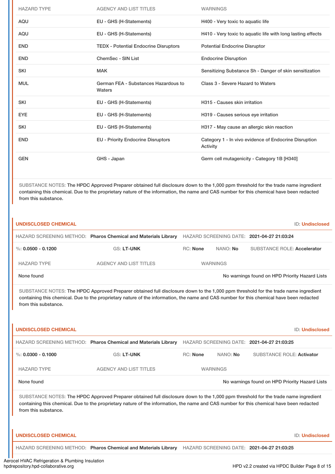| <b>HAZARD TYPE</b> | <b>AGENCY AND LIST TITLES</b>                  | <b>WARNINGS</b>                                                   |
|--------------------|------------------------------------------------|-------------------------------------------------------------------|
| <b>AQU</b>         | EU - GHS (H-Statements)                        | H400 - Very toxic to aquatic life                                 |
| AQU                | EU - GHS (H-Statements)                        | H410 - Very toxic to aquatic life with long lasting effects       |
| <b>END</b>         | <b>TEDX - Potential Endocrine Disruptors</b>   | <b>Potential Endocrine Disruptor</b>                              |
| <b>END</b>         | ChemSec - SIN List                             | <b>Endocrine Disruption</b>                                       |
| <b>SKI</b>         | <b>MAK</b>                                     | Sensitizing Substance Sh - Danger of skin sensitization           |
| <b>MUL</b>         | German FEA - Substances Hazardous to<br>Waters | Class 3 - Severe Hazard to Waters                                 |
| <b>SKI</b>         | EU - GHS (H-Statements)                        | H315 - Causes skin irritation                                     |
| <b>EYE</b>         | EU - GHS (H-Statements)                        | H319 - Causes serious eye irritation                              |
| <b>SKI</b>         | EU - GHS (H-Statements)                        | H317 - May cause an allergic skin reaction                        |
| <b>END</b>         | <b>EU - Priority Endocrine Disruptors</b>      | Category 1 - In vivo evidence of Endocrine Disruption<br>Activity |
| <b>GEN</b>         | GHS - Japan                                    | Germ cell mutagenicity - Category 1B [H340]                       |

SUBSTANCE NOTES: The HPDC Approved Preparer obtained full disclosure down to the 1,000 ppm threshold for the trade name ingredient containing this chemical. Due to the proprietary nature of the information, the name and CAS number for this chemical have been redacted from this substance.

| <b>UNDISCLOSED CHEMICAL</b> |                                                                                                           |                 |                 | <b>ID: Undisclosed</b>                         |
|-----------------------------|-----------------------------------------------------------------------------------------------------------|-----------------|-----------------|------------------------------------------------|
|                             | HAZARD SCREENING METHOD: Pharos Chemical and Materials Library HAZARD SCREENING DATE: 2021-04-27 21:03:24 |                 |                 |                                                |
| %: 0.0500 - 0.1200          | <b>GS: LT-UNK</b>                                                                                         | <b>RC:</b> None | NANO: <b>No</b> | <b>SUBSTANCE ROLE: Accelerator</b>             |
| <b>HAZARD TYPE</b>          | <b>AGENCY AND LIST TITLES</b>                                                                             |                 | <b>WARNINGS</b> |                                                |
| None found                  |                                                                                                           |                 |                 | No warnings found on HPD Priority Hazard Lists |

SUBSTANCE NOTES: The HPDC Approved Preparer obtained full disclosure down to the 1,000 ppm threshold for the trade name ingredient containing this chemical. Due to the proprietary nature of the information, the name and CAS number for this chemical have been redacted from this substance.

| <b>UNDISCLOSED CHEMICAL</b> |                                                                                                                                                                                                                                                                                |                 |                 | <b>ID: Undisclosed</b>                         |
|-----------------------------|--------------------------------------------------------------------------------------------------------------------------------------------------------------------------------------------------------------------------------------------------------------------------------|-----------------|-----------------|------------------------------------------------|
|                             | HAZARD SCREENING METHOD: Pharos Chemical and Materials Library                                                                                                                                                                                                                 |                 |                 | HAZARD SCREENING DATE: 2021-04-27 21:03:25     |
| %: $0.0300 - 0.1000$        | <b>GS: LT-UNK</b>                                                                                                                                                                                                                                                              | <b>RC:</b> None | NANO: No        | <b>SUBSTANCE ROLE: Activator</b>               |
| <b>HAZARD TYPE</b>          | <b>AGENCY AND LIST TITLES</b>                                                                                                                                                                                                                                                  |                 | <b>WARNINGS</b> |                                                |
| None found                  |                                                                                                                                                                                                                                                                                |                 |                 | No warnings found on HPD Priority Hazard Lists |
| from this substance.        | SUBSTANCE NOTES: The HPDC Approved Preparer obtained full disclosure down to the 1,000 ppm threshold for the trade name ingredient<br>containing this chemical. Due to the proprietary nature of the information, the name and CAS number for this chemical have been redacted |                 |                 |                                                |
| <b>UNDISCLOSED CHEMICAL</b> |                                                                                                                                                                                                                                                                                |                 |                 | <b>ID: Undisclosed</b>                         |
|                             | HAZARD SCREENING METHOD: Pharos Chemical and Materials Library                                                                                                                                                                                                                 |                 |                 | HAZARD SCREENING DATE: 2021-04-27 21:03:25     |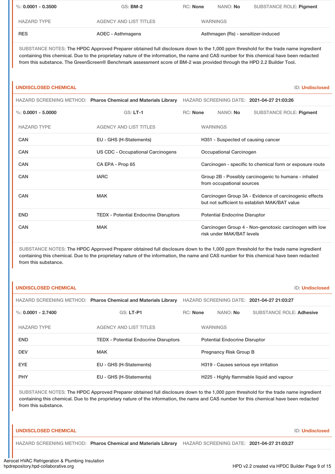| $\%$ : 0.0001 - 0.3500 | GS: <b>BM-2</b>               | RC: None | NANO: No                            | SUBSTANCE ROLE: Pigment |  |
|------------------------|-------------------------------|----------|-------------------------------------|-------------------------|--|
| <b>HAZARD TYPE</b>     | <b>AGENCY AND LIST TITLES</b> |          | <b>WARNINGS</b>                     |                         |  |
| <b>RES</b>             | AOEC - Asthmagens             |          | Asthmagen (Rs) - sensitizer-induced |                         |  |

SUBSTANCE NOTES: The HPDC Approved Preparer obtained full disclosure down to the 1,000 ppm threshold for the trade name ingredient containing this chemical. Due to the proprietary nature of the information, the name and CAS number for this chemical have been redacted from this substance. The GreenScreen® Benchmark assessment score of BM-2 was provided through the HPD 2.2 Builder Tool.

| <b>UNDISCLOSED CHEMICAL</b> |                                                                |                 |                                                                                                         | <b>ID: Undisclosed</b>                                 |  |
|-----------------------------|----------------------------------------------------------------|-----------------|---------------------------------------------------------------------------------------------------------|--------------------------------------------------------|--|
|                             | HAZARD SCREENING METHOD: Pharos Chemical and Materials Library |                 |                                                                                                         | HAZARD SCREENING DATE: 2021-04-27 21:03:26             |  |
| %: $0.0001 - 5.0000$        | <b>GS: LT-1</b>                                                | <b>RC:</b> None | NANO: No                                                                                                | <b>SUBSTANCE ROLE: Pigment</b>                         |  |
| <b>HAZARD TYPE</b>          | <b>AGENCY AND LIST TITLES</b>                                  |                 | <b>WARNINGS</b>                                                                                         |                                                        |  |
| <b>CAN</b>                  | EU - GHS (H-Statements)                                        |                 | H351 - Suspected of causing cancer                                                                      |                                                        |  |
| CAN                         | <b>US CDC - Occupational Carcinogens</b>                       |                 | Occupational Carcinogen                                                                                 |                                                        |  |
| CAN                         | CA EPA - Prop 65                                               |                 | Carcinogen - specific to chemical form or exposure route                                                |                                                        |  |
| CAN                         | <b>IARC</b>                                                    |                 | Group 2B - Possibly carcinogenic to humans - inhaled<br>from occupational sources                       |                                                        |  |
| <b>CAN</b>                  | <b>MAK</b>                                                     |                 | Carcinogen Group 3A - Evidence of carcinogenic effects<br>but not sufficient to establish MAK/BAT value |                                                        |  |
| <b>END</b>                  | <b>TEDX</b> - Potential Endocrine Disruptors                   |                 | <b>Potential Endocrine Disruptor</b>                                                                    |                                                        |  |
| CAN                         | <b>MAK</b>                                                     |                 | risk under MAK/BAT levels                                                                               | Carcinogen Group 4 - Non-genotoxic carcinogen with low |  |

SUBSTANCE NOTES: The HPDC Approved Preparer obtained full disclosure down to the 1,000 ppm threshold for the trade name ingredient containing this chemical. Due to the proprietary nature of the information, the name and CAS number for this chemical have been redacted from this substance.

| HAZARD SCREENING METHOD: Pharos Chemical and Materials Library<br>HAZARD SCREENING DATE: 2021-04-27 21:03:27<br><b>GS: LT-P1</b><br>$\%$ : 0.0001 - 2.7400<br>RC: None<br>NANO: No<br><b>SUBSTANCE ROLE: Adhesive</b><br><b>HAZARD TYPE</b><br><b>AGENCY AND LIST TITLES</b><br><b>WARNINGS</b><br><b>END</b><br><b>TEDX - Potential Endocrine Disruptors</b><br><b>Potential Endocrine Disruptor</b><br><b>DEV</b><br><b>MAK</b><br><b>Pregnancy Risk Group B</b><br><b>EYE</b><br>EU - GHS (H-Statements)<br>H319 - Causes serious eye irritation<br><b>PHY</b><br>H225 - Highly flammable liquid and vapour<br>EU - GHS (H-Statements) | <b>UNDISCLOSED CHEMICAL</b> |  |  | <b>ID: Undisclosed</b> |  |
|-------------------------------------------------------------------------------------------------------------------------------------------------------------------------------------------------------------------------------------------------------------------------------------------------------------------------------------------------------------------------------------------------------------------------------------------------------------------------------------------------------------------------------------------------------------------------------------------------------------------------------------------|-----------------------------|--|--|------------------------|--|
|                                                                                                                                                                                                                                                                                                                                                                                                                                                                                                                                                                                                                                           |                             |  |  |                        |  |
|                                                                                                                                                                                                                                                                                                                                                                                                                                                                                                                                                                                                                                           |                             |  |  |                        |  |
|                                                                                                                                                                                                                                                                                                                                                                                                                                                                                                                                                                                                                                           |                             |  |  |                        |  |
|                                                                                                                                                                                                                                                                                                                                                                                                                                                                                                                                                                                                                                           |                             |  |  |                        |  |
|                                                                                                                                                                                                                                                                                                                                                                                                                                                                                                                                                                                                                                           |                             |  |  |                        |  |
|                                                                                                                                                                                                                                                                                                                                                                                                                                                                                                                                                                                                                                           |                             |  |  |                        |  |
|                                                                                                                                                                                                                                                                                                                                                                                                                                                                                                                                                                                                                                           |                             |  |  |                        |  |

SUBSTANCE NOTES: The HPDC Approved Preparer obtained full disclosure down to the 1,000 ppm threshold for the trade name ingredient containing this chemical. Due to the proprietary nature of the information, the name and CAS number for this chemical have been redacted from this substance.

# **UNDISCLOSED CHEMICAL** ID: **Undisclosed**

HAZARD SCREENING METHOD: **Pharos Chemical and Materials Library** HAZARD SCREENING DATE: **2021-04-27 21:03:27**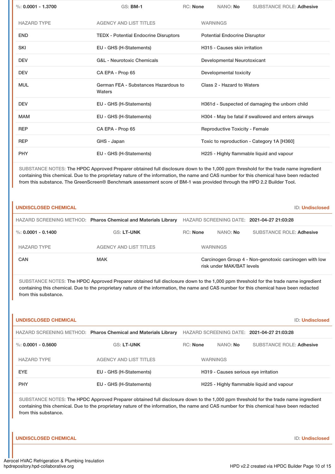| %: $0.0001 - 1.3700$ | <b>GS: BM-1</b>                                | <b>RC: None</b> |                                                     | NANO: No                              | <b>SUBSTANCE ROLE: Adhesive</b>                |  |
|----------------------|------------------------------------------------|-----------------|-----------------------------------------------------|---------------------------------------|------------------------------------------------|--|
| <b>HAZARD TYPE</b>   | <b>AGENCY AND LIST TITLES</b>                  |                 | <b>WARNINGS</b>                                     |                                       |                                                |  |
| <b>END</b>           | <b>TEDX - Potential Endocrine Disruptors</b>   |                 |                                                     | <b>Potential Endocrine Disruptor</b>  |                                                |  |
| <b>SKI</b>           | EU - GHS (H-Statements)                        |                 | H315 - Causes skin irritation                       |                                       |                                                |  |
| <b>DEV</b>           | <b>G&amp;L</b> - Neurotoxic Chemicals          |                 | Developmental Neurotoxicant                         |                                       |                                                |  |
| <b>DEV</b>           | CA EPA - Prop 65                               |                 | Developmental toxicity                              |                                       |                                                |  |
| <b>MUL</b>           | German FEA - Substances Hazardous to<br>Waters |                 | Class 2 - Hazard to Waters                          |                                       |                                                |  |
| <b>DEV</b>           | EU - GHS (H-Statements)                        |                 |                                                     |                                       | H361d - Suspected of damaging the unborn child |  |
| <b>MAM</b>           | EU - GHS (H-Statements)                        |                 | H304 - May be fatal if swallowed and enters airways |                                       |                                                |  |
| <b>REP</b>           | CA EPA - Prop 65                               |                 |                                                     | <b>Reproductive Toxicity - Female</b> |                                                |  |
| <b>REP</b>           | GHS - Japan                                    |                 |                                                     |                                       | Toxic to reproduction - Category 1A [H360]     |  |
| <b>PHY</b>           | EU - GHS (H-Statements)                        |                 |                                                     |                                       | H225 - Highly flammable liquid and vapour      |  |

SUBSTANCE NOTES: The HPDC Approved Preparer obtained full disclosure down to the 1,000 ppm threshold for the trade name ingredient containing this chemical. Due to the proprietary nature of the information, the name and CAS number for this chemical have been redacted from this substance. The GreenScreen® Benchmark assessment score of BM-1 was provided through the HPD 2.2 Builder Tool.

| UNDISCLOSED CHEMICAL |                                                                |                 |                 |                           |                                                        | <b>ID: Undisclosed</b> |
|----------------------|----------------------------------------------------------------|-----------------|-----------------|---------------------------|--------------------------------------------------------|------------------------|
|                      | HAZARD SCREENING METHOD: Pharos Chemical and Materials Library |                 |                 |                           | HAZARD SCREENING DATE: 2021-04-27 21:03:28             |                        |
| %: 0.0001 - 0.1400   | <b>GS: LT-UNK</b>                                              | <b>RC:</b> None |                 | NANO: No                  | <b>SUBSTANCE ROLE: Adhesive</b>                        |                        |
| <b>HAZARD TYPE</b>   | AGENCY AND LIST TITLES                                         |                 | <b>WARNINGS</b> |                           |                                                        |                        |
| CAN                  | <b>MAK</b>                                                     |                 |                 | risk under MAK/BAT levels | Carcinogen Group 4 - Non-genotoxic carcinogen with low |                        |

SUBSTANCE NOTES: The HPDC Approved Preparer obtained full disclosure down to the 1,000 ppm threshold for the trade name ingredient containing this chemical. Due to the proprietary nature of the information, the name and CAS number for this chemical have been redacted from this substance.

| UNDISCLOSED CHEMICAL |                                                                |                 |                                      | <b>ID: Undisclosed</b>                     |
|----------------------|----------------------------------------------------------------|-----------------|--------------------------------------|--------------------------------------------|
|                      | HAZARD SCREENING METHOD: Pharos Chemical and Materials Library |                 |                                      | HAZARD SCREENING DATE: 2021-04-27 21:03:28 |
| %: $0.0001 - 0.5600$ | <b>GS: LT-UNK</b>                                              | <b>RC: None</b> | NANO: No                             | <b>SUBSTANCE ROLE: Adhesive</b>            |
| <b>HAZARD TYPE</b>   | <b>AGENCY AND LIST TITLES</b>                                  |                 | <b>WARNINGS</b>                      |                                            |
| <b>EYE</b>           | EU - GHS (H-Statements)                                        |                 | H319 - Causes serious eye irritation |                                            |
| <b>PHY</b>           | EU - GHS (H-Statements)                                        |                 |                                      | H225 - Highly flammable liquid and vapour  |

SUBSTANCE NOTES: The HPDC Approved Preparer obtained full disclosure down to the 1,000 ppm threshold for the trade name ingredient containing this chemical. Due to the proprietary nature of the information, the name and CAS number for this chemical have been redacted from this substance.

**UNDISCLOSED CHEMICAL** ID: **Undisclosed**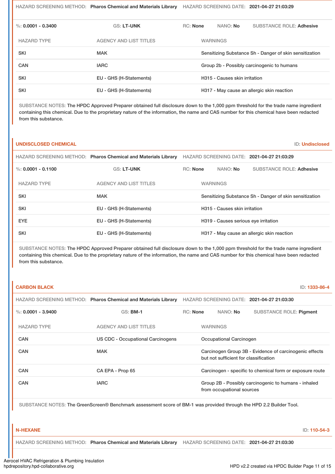HAZARD SCREENING METHOD: **Pharos Chemical and Materials Library** HAZARD SCREENING DATE: **2021-04-27 21:03:29**

| %: 0.0001 - 0.3400 | <b>GS: LT-UNK</b>             | RC: None                                   |  | NANO: No        | <b>SUBSTANCE ROLE: Adhesive</b>                         |
|--------------------|-------------------------------|--------------------------------------------|--|-----------------|---------------------------------------------------------|
| <b>HAZARD TYPE</b> | <b>AGENCY AND LIST TITLES</b> |                                            |  | <b>WARNINGS</b> |                                                         |
| <b>SKI</b>         | <b>MAK</b>                    |                                            |  |                 | Sensitizing Substance Sh - Danger of skin sensitization |
| CAN                | <b>IARC</b>                   | Group 2b - Possibly carcinogenic to humans |  |                 |                                                         |
| <b>SKI</b>         | EU - GHS (H-Statements)       | H315 - Causes skin irritation              |  |                 |                                                         |
| <b>SKI</b>         | EU - GHS (H-Statements)       |                                            |  |                 | H317 - May cause an allergic skin reaction              |

SUBSTANCE NOTES: The HPDC Approved Preparer obtained full disclosure down to the 1,000 ppm threshold for the trade name ingredient containing this chemical. Due to the proprietary nature of the information, the name and CAS number for this chemical have been redacted from this substance.

# **UNDISCLOSED CHEMICAL** ID: **Undisclosed**

|                      | HAZARD SCREENING METHOD: Pharos Chemical and Materials Library |                                                         |          | HAZARD SCREENING DATE: 2021-04-27 21:03:29 |
|----------------------|----------------------------------------------------------------|---------------------------------------------------------|----------|--------------------------------------------|
| %: $0.0001 - 0.1100$ | <b>GS: LT-UNK</b>                                              | <b>RC: None</b>                                         | NANO: No | <b>SUBSTANCE ROLE: Adhesive</b>            |
| <b>HAZARD TYPE</b>   | <b>AGENCY AND LIST TITLES</b>                                  | <b>WARNINGS</b>                                         |          |                                            |
| <b>SKI</b>           | <b>MAK</b>                                                     | Sensitizing Substance Sh - Danger of skin sensitization |          |                                            |
| <b>SKI</b>           | EU - GHS (H-Statements)                                        | H315 - Causes skin irritation                           |          |                                            |
| <b>EYE</b>           | EU - GHS (H-Statements)                                        | H319 - Causes serious eye irritation                    |          |                                            |
| <b>SKI</b>           | EU - GHS (H-Statements)                                        | H317 - May cause an allergic skin reaction              |          |                                            |

SUBSTANCE NOTES: The HPDC Approved Preparer obtained full disclosure down to the 1,000 ppm threshold for the trade name ingredient containing this chemical. Due to the proprietary nature of the information, the name and CAS number for this chemical have been redacted from this substance.

| <b>CARBON BLACK</b> |                                                                |          |                                                          | ID: 1333-86-4                                          |  |
|---------------------|----------------------------------------------------------------|----------|----------------------------------------------------------|--------------------------------------------------------|--|
|                     | HAZARD SCREENING METHOD: Pharos Chemical and Materials Library |          |                                                          | HAZARD SCREENING DATE: 2021-04-27 21:03:30             |  |
| %: 0.0001 - 3.9400  | $GS:$ BM-1                                                     | RC: None | NANO: No                                                 | <b>SUBSTANCE ROLE: Pigment</b>                         |  |
| <b>HAZARD TYPE</b>  | <b>AGENCY AND LIST TITLES</b>                                  |          | <b>WARNINGS</b>                                          |                                                        |  |
| <b>CAN</b>          | US CDC - Occupational Carcinogens                              |          | Occupational Carcinogen                                  |                                                        |  |
| <b>CAN</b>          | <b>MAK</b>                                                     |          | but not sufficient for classification                    | Carcinogen Group 3B - Evidence of carcinogenic effects |  |
| <b>CAN</b>          | CA EPA - Prop 65                                               |          | Carcinogen - specific to chemical form or exposure route |                                                        |  |
| CAN                 | <b>IARC</b>                                                    |          | from occupational sources                                | Group 2B - Possibly carcinogenic to humans - inhaled   |  |

SUBSTANCE NOTES: The GreenScreen® Benchmark assessment score of BM-1 was provided through the HPD 2.2 Builder Tool.

**N-HEXANE** ID: **110-54-3**

HAZARD SCREENING METHOD: **Pharos Chemical and Materials Library** HAZARD SCREENING DATE: **2021-04-27 21:03:30**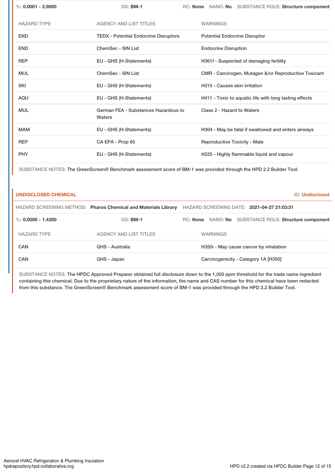| $\%$ : 0.0001 - 2.9000 | $GS:$ BM-1                                     | RC: None NANO: No SUBSTANCE ROLE: Structure component  |
|------------------------|------------------------------------------------|--------------------------------------------------------|
| <b>HAZARD TYPE</b>     | <b>AGENCY AND LIST TITLES</b>                  | <b>WARNINGS</b>                                        |
| <b>END</b>             | <b>TEDX - Potential Endocrine Disruptors</b>   | <b>Potential Endocrine Disruptor</b>                   |
| <b>END</b>             | ChemSec - SIN List                             | <b>Endocrine Disruption</b>                            |
| <b>REP</b>             | EU - GHS (H-Statements)                        | H361f - Suspected of damaging fertility                |
| <b>MUL</b>             | ChemSec - SIN List                             | CMR - Carcinogen, Mutagen &/or Reproductive Toxicant   |
| <b>SKI</b>             | EU - GHS (H-Statements)                        | H315 - Causes skin irritation                          |
| AQU                    | EU - GHS (H-Statements)                        | H411 - Toxic to aquatic life with long lasting effects |
| <b>MUL</b>             | German FEA - Substances Hazardous to<br>Waters | Class 2 - Hazard to Waters                             |
| <b>MAM</b>             | EU - GHS (H-Statements)                        | H304 - May be fatal if swallowed and enters airways    |
| <b>REP</b>             | CA EPA - Prop 65                               | <b>Reproductive Toxicity - Male</b>                    |
| <b>PHY</b>             | EU - GHS (H-Statements)                        | H225 - Highly flammable liquid and vapour              |

SUBSTANCE NOTES: The GreenScreen® Benchmark assessment score of BM-1 was provided through the HPD 2.2 Builder Tool.

| <b>UNDISCLOSED CHEMICAL</b> |                                                                | ID: Undisclosed                                          |
|-----------------------------|----------------------------------------------------------------|----------------------------------------------------------|
|                             | HAZARD SCREENING METHOD: Pharos Chemical and Materials Library | HAZARD SCREENING DATE: 2021-04-27 21:03:31               |
| %: 0,0000 - 1.4300          | <b>GS: BM-1</b>                                                | NANO: No SUBSTANCE ROLE: Structure component<br>RC: None |
| <b>HAZARD TYPE</b>          | AGENCY AND LIST TITLES                                         | <b>WARNINGS</b>                                          |
| CAN                         | <b>GHS - Australia</b>                                         | H350i - May cause cancer by inhalation                   |
| CAN                         | GHS - Japan                                                    | Carcinogenicity - Category 1A [H350]                     |

SUBSTANCE NOTES: The HPDC Approved Preparer obtained full disclosure down to the 1,000 ppm threshold for the trade name ingredient containing this chemical. Due to the proprietary nature of the information, the name and CAS number for this chemical have been redacted from this substance. The GreenScreen® Benchmark assessment score of BM-1 was provided through the HPD 2.2 Builder Tool.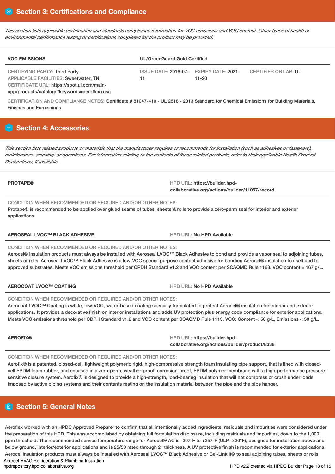This section lists applicable certification and standards compliance information for VOC emissions and VOC content. Other types of health or *environmental performance testing or certifications completed for the product may be provided.*

| <b>VOC EMISSIONS</b>                                                                                                 | <b>UL/GreenGuard Gold Certified</b>           |       |                      |  |  |
|----------------------------------------------------------------------------------------------------------------------|-----------------------------------------------|-------|----------------------|--|--|
| CERTIFYING PARTY: Third Party<br>APPLICABLE FACILITIES: Sweetwater. TN<br>CERTIFICATE URL: https://spot.ul.com/main- | ISSUE DATE: 2016-07- EXPIRY DATE: 2021-<br>11 | 11-20 | CERTIFIER OR LAB: UL |  |  |

app/products/catalog/?keywords=aeroflex+usa

CERTIFICATION AND COMPLIANCE NOTES: Certificate # 81047-410 - UL 2818 - 2013 Standard for Chemical Emissions for Building Materials, Finishes and Furnishings

# **H** Section 4: Accessories

This section lists related products or materials that the manufacturer requires or recommends for installation (such as adhesives or fasteners), maintenance, cleaning, or operations. For information relating to the contents of these related products, refer to their applicable Health Product *Declarations, if available.*

**PROTAPE® HPD URL: https://builder.hpdcollaborative.org/actions/builder/11057/record**

CONDITION WHEN RECOMMENDED OR REQUIRED AND/OR OTHER NOTES: Protape® is recommended to be applied over glued seams of tubes, sheets & rolls to provide a zero-perm seal for interior and exterior applications.

# **AEROSEAL LVOC™ BLACK ADHESIVE** HPD URL: **No HPD Available**

# CONDITION WHEN RECOMMENDED OR REQUIRED AND/OR OTHER NOTES:

Aerocel® insulation products must always be installed with Aeroseal LVOC™ Black Adhesive to bond and provide a vapor seal to adjoining tubes, sheets or rolls. Aeroseal LVOC™ Black Adhesive is a low-VOC special purpose contact adhesive for bonding Aerocel® insulation to itself and to approved substrates. Meets VOC emissions threshold per CPDH Standard v1.2 and VOC content per SCAQMD Rule 1168. VOC content = 167 g/L.

# **AEROCOAT LVOC™ COATING** HPD URL: **No HPD Available**

# CONDITION WHEN RECOMMENDED OR REQUIRED AND/OR OTHER NOTES:

Aerocoat LVOC™ Coating is white, low-VOC, water-based coating specially formulated to protect Aerocel® insulation for interior and exterior applications. It provides a decorative finish on interior installations and adds UV protection plus energy code compliance for exterior applications. Meets VOC emissions threshold per CDPH Standard v1.2 and VOC content per SCAQMD Rule 1113. VOC: Content < 50 g/L, Emissions < 50 g/L.

| <b>AEROFIX®</b> | HPD URL: https://builder.hpd-                  |
|-----------------|------------------------------------------------|
|                 | collaborative.org/actions/builder/product/8338 |

# CONDITION WHEN RECOMMENDED OR REQUIRED AND/OR OTHER NOTES:

Aerofix<sup>®</sup> is a patented, closed-cell, lightweight polymeric rigid, high-compressive strength foam insulating pipe support, that is lined with closedcell EPDM foam rubber, and encased in a zero-perm, weather-proof, corrosion-proof, EPDM polymer membrane with a high-performance pressuresensitive closure system. Aerofix® is designed to provide a high-strength, load-bearing insulation that will not compress or crush under loads imposed by active piping systems and their contents resting on the insulation material between the pipe and the pipe hanger.

# **Section 5: General Notes**

Aeroflex worked with an HPDC Approved Preparer to confirm that all intentionally added ingredients, residuals and impurities were considered under the preparation of this HPD. This was accomplished by obtaining full formulation disclosure, including residuals and impurities, down to the 1,000 ppm threshold. The recommended service temperature range for Aerocel® AC is -297°F to +257°F (ULP -320°F), designed for installation above and below ground, interior/exterior applications and is 25/50 rated through 2" thickness. A UV protective finish is recommended for exterior applications. Aerocel insulation products must always be installed with Aeroseal LVOC™ Black Adhesive or Cel-Link II® to seal adjoining tubes, sheets or rolls Aerocel HVAC Refrigeration & Plumbing Insulation<br>hpdrepository.hpd-collaborative.org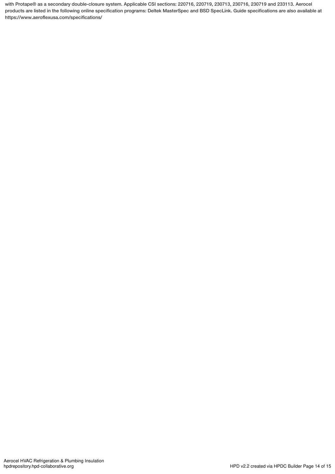with Protape® as a secondary double-closure system. Applicable CSI sections: 220716, 220719, 230713, 230716, 230719 and 233113. Aerocel products are listed in the following online specification programs: Deltek MasterSpec and BSD SpecLink. Guide specifications are also available at https://www.aeroflexusa.com/specifications/